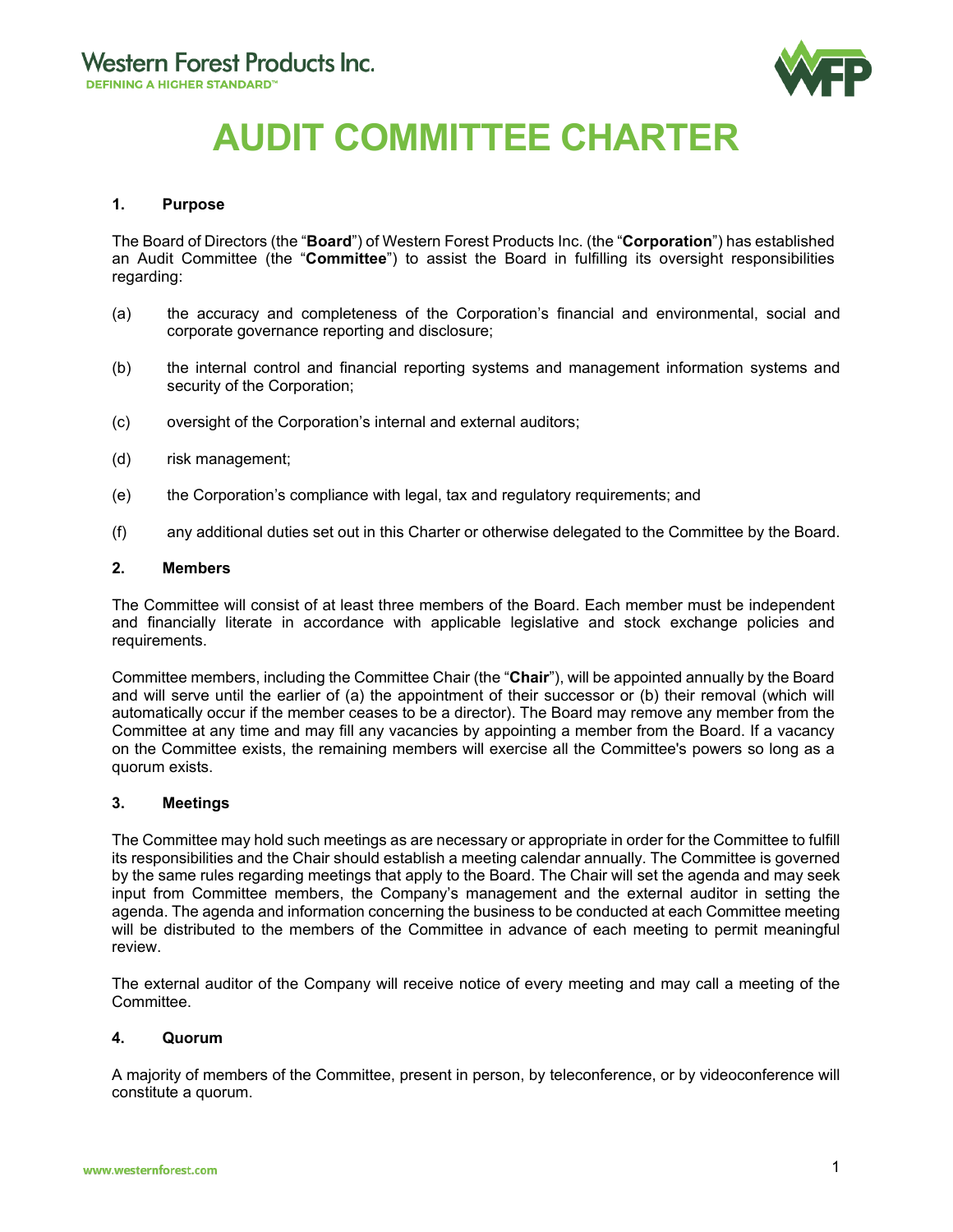

# **AUDIT COMMITTEE CHARTER**

### **1. Purpose**

The Board of Directors (the "**Board**") of Western Forest Products Inc. (the "**Corporation**") has established an Audit Committee (the "**Committee**") to assist the Board in fulfilling its oversight responsibilities regarding:

- (a) the accuracy and completeness of the Corporation's financial and environmental, social and corporate governance reporting and disclosure;
- (b) the internal control and financial reporting systems and management information systems and security of the Corporation;
- (c) oversight of the Corporation's internal and external auditors;
- (d) risk management;
- (e) the Corporation's compliance with legal, tax and regulatory requirements; and
- (f) any additional duties set out in this Charter or otherwise delegated to the Committee by the Board.

#### **2. Members**

The Committee will consist of at least three members of the Board. Each member must be independent and financially literate in accordance with applicable legislative and stock exchange policies and requirements.

Committee members, including the Committee Chair (the "**Chair**"), will be appointed annually by the Board and will serve until the earlier of (a) the appointment of their successor or (b) their removal (which will automatically occur if the member ceases to be a director). The Board may remove any member from the Committee at any time and may fill any vacancies by appointing a member from the Board. If a vacancy on the Committee exists, the remaining members will exercise all the Committee's powers so long as a quorum exists.

#### **3. Meetings**

The Committee may hold such meetings as are necessary or appropriate in order for the Committee to fulfill its responsibilities and the Chair should establish a meeting calendar annually. The Committee is governed by the same rules regarding meetings that apply to the Board. The Chair will set the agenda and may seek input from Committee members, the Company's management and the external auditor in setting the agenda. The agenda and information concerning the business to be conducted at each Committee meeting will be distributed to the members of the Committee in advance of each meeting to permit meaningful review.

The external auditor of the Company will receive notice of every meeting and may call a meeting of the Committee.

#### **4. Quorum**

A majority of members of the Committee, present in person, by teleconference, or by videoconference will constitute a quorum.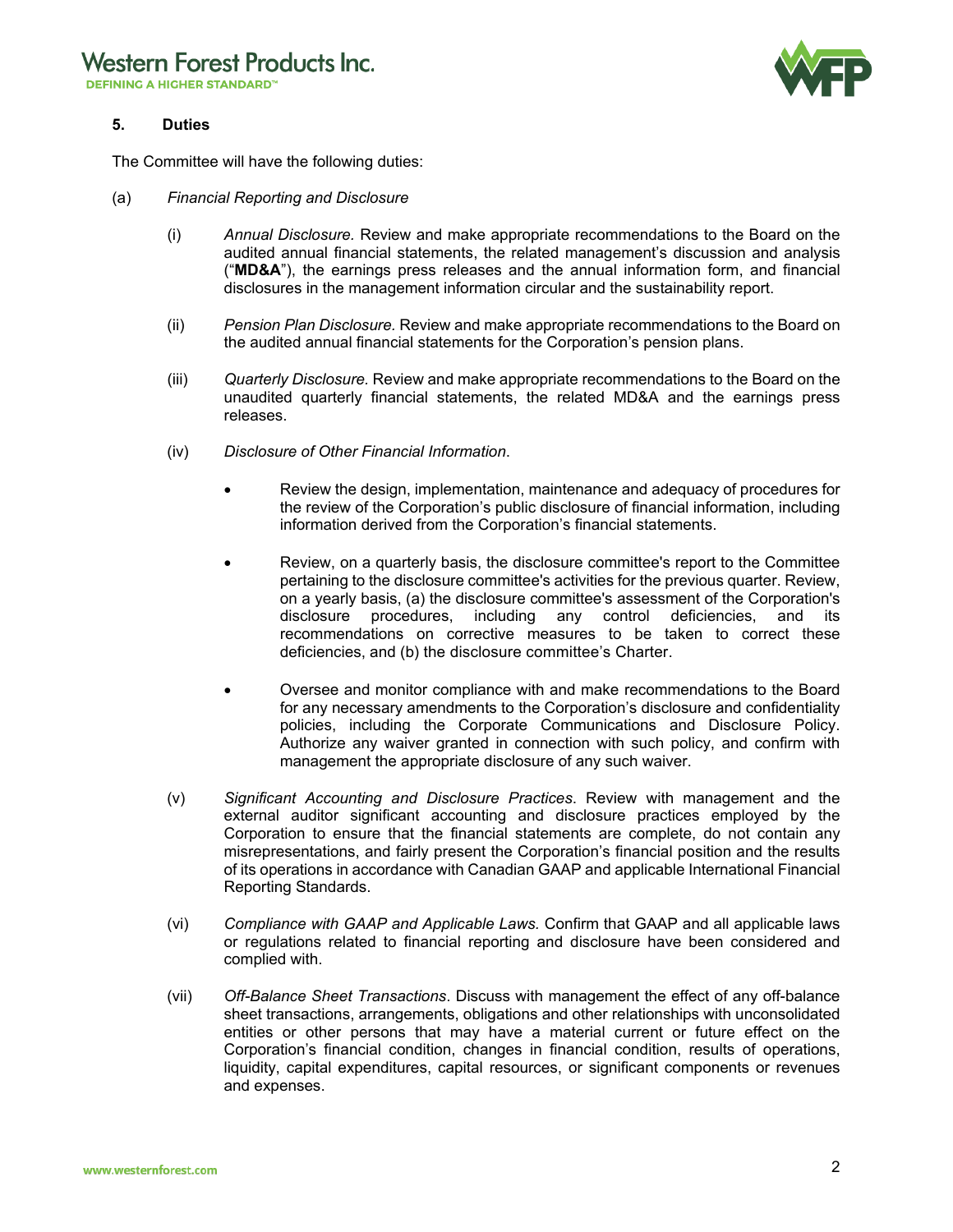**DEFINING A HIGHER STANDARD™** 



# **5. Duties**

The Committee will have the following duties:

- (a) *Financial Reporting and Disclosure*
	- (i) *Annual Disclosure.* Review and make appropriate recommendations to the Board on the audited annual financial statements, the related management's discussion and analysis ("**MD&A**"), the earnings press releases and the annual information form, and financial disclosures in the management information circular and the sustainability report.
	- (ii) *Pension Plan Disclosure.* Review and make appropriate recommendations to the Board on the audited annual financial statements for the Corporation's pension plans.
	- (iii) *Quarterly Disclosure.* Review and make appropriate recommendations to the Board on the unaudited quarterly financial statements, the related MD&A and the earnings press releases.
	- (iv) *Disclosure of Other Financial Information*.
		- Review the design, implementation, maintenance and adequacy of procedures for the review of the Corporation's public disclosure of financial information, including information derived from the Corporation's financial statements.
		- Review, on a quarterly basis, the disclosure committee's report to the Committee pertaining to the disclosure committee's activities for the previous quarter. Review, on a yearly basis, (a) the disclosure committee's assessment of the Corporation's disclosure procedures, including any control deficiencies, and its recommendations on corrective measures to be taken to correct these deficiencies, and (b) the disclosure committee's Charter.
		- Oversee and monitor compliance with and make recommendations to the Board for any necessary amendments to the Corporation's disclosure and confidentiality policies, including the Corporate Communications and Disclosure Policy. Authorize any waiver granted in connection with such policy, and confirm with management the appropriate disclosure of any such waiver.
	- (v) *Significant Accounting and Disclosure Practices*. Review with management and the external auditor significant accounting and disclosure practices employed by the Corporation to ensure that the financial statements are complete, do not contain any misrepresentations, and fairly present the Corporation's financial position and the results of its operations in accordance with Canadian GAAP and applicable International Financial Reporting Standards.
	- (vi) *Compliance with GAAP and Applicable Laws.* Confirm that GAAP and all applicable laws or regulations related to financial reporting and disclosure have been considered and complied with.
	- (vii) *Off-Balance Sheet Transactions*. Discuss with management the effect of any off-balance sheet transactions, arrangements, obligations and other relationships with unconsolidated entities or other persons that may have a material current or future effect on the Corporation's financial condition, changes in financial condition, results of operations, liquidity, capital expenditures, capital resources, or significant components or revenues and expenses.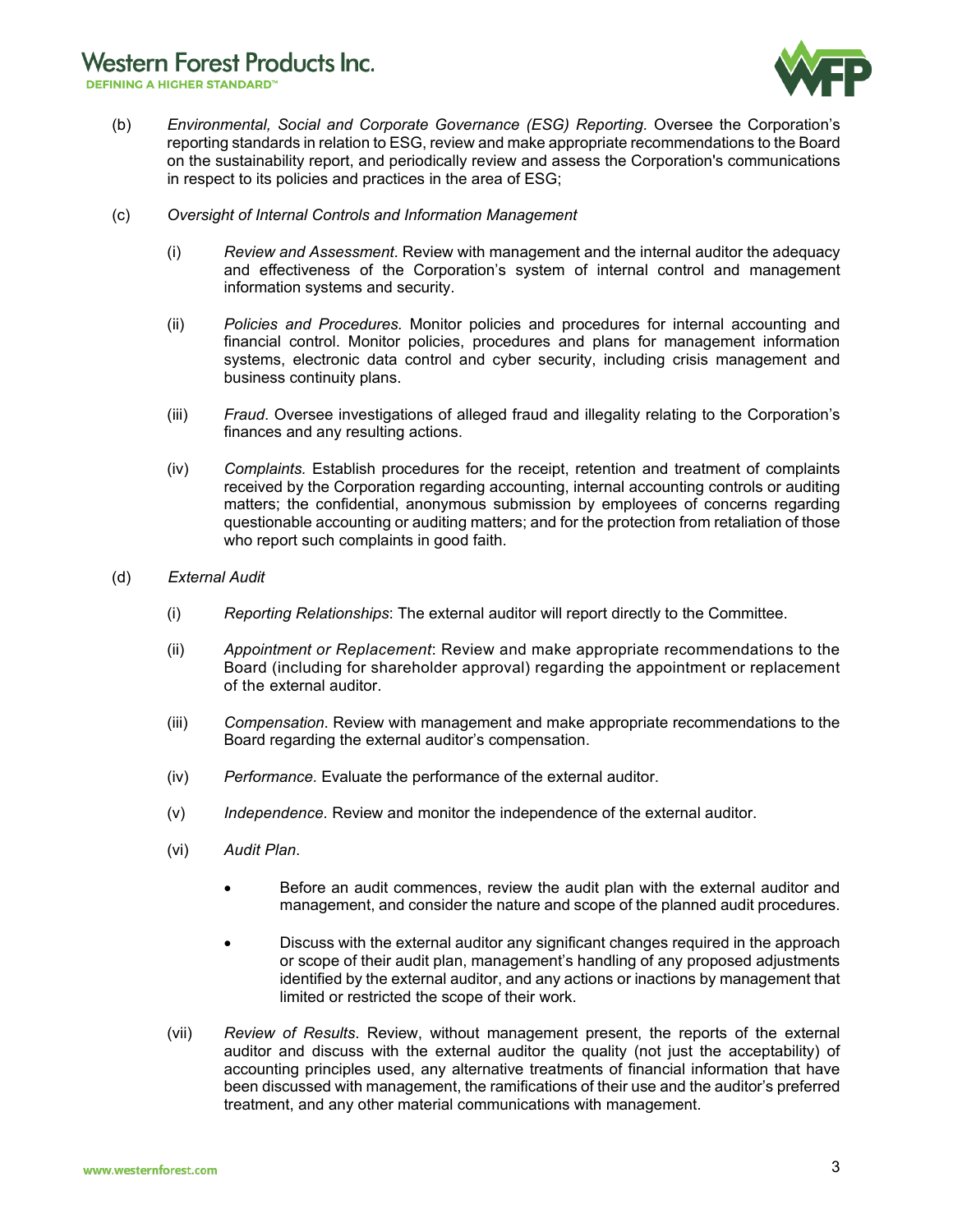**Western Forest Products Inc.** 

**DEFINING A HIGHER STANDARD™** 



- (b) *Environmental, Social and Corporate Governance (ESG) Reporting.* Oversee the Corporation's reporting standards in relation to ESG, review and make appropriate recommendations to the Board on the sustainability report, and periodically review and assess the Corporation's communications in respect to its policies and practices in the area of ESG;
- (c) *Oversight of Internal Controls and Information Management*
	- (i) *Review and Assessment*. Review with management and the internal auditor the adequacy and effectiveness of the Corporation's system of internal control and management information systems and security.
	- (ii) *Policies and Procedures.* Monitor policies and procedures for internal accounting and financial control. Monitor policies, procedures and plans for management information systems, electronic data control and cyber security, including crisis management and business continuity plans.
	- (iii) *Fraud*. Oversee investigations of alleged fraud and illegality relating to the Corporation's finances and any resulting actions.
	- (iv) *Complaints.* Establish procedures for the receipt, retention and treatment of complaints received by the Corporation regarding accounting, internal accounting controls or auditing matters; the confidential, anonymous submission by employees of concerns regarding questionable accounting or auditing matters; and for the protection from retaliation of those who report such complaints in good faith.
- (d) *External Audit*
	- (i) *Reporting Relationships*: The external auditor will report directly to the Committee.
	- (ii) *Appointment or Replacement*: Review and make appropriate recommendations to the Board (including for shareholder approval) regarding the appointment or replacement of the external auditor.
	- (iii) *Compensation*. Review with management and make appropriate recommendations to the Board regarding the external auditor's compensation.
	- (iv) *Performance.* Evaluate the performance of the external auditor.
	- (v) *Independence.* Review and monitor the independence of the external auditor.
	- (vi) *Audit Plan*.
		- Before an audit commences, review the audit plan with the external auditor and management, and consider the nature and scope of the planned audit procedures.
		- Discuss with the external auditor any significant changes required in the approach or scope of their audit plan, management's handling of any proposed adjustments identified by the external auditor, and any actions or inactions by management that limited or restricted the scope of their work.
	- (vii) *Review of Results*. Review, without management present, the reports of the external auditor and discuss with the external auditor the quality (not just the acceptability) of accounting principles used, any alternative treatments of financial information that have been discussed with management, the ramifications of their use and the auditor's preferred treatment, and any other material communications with management.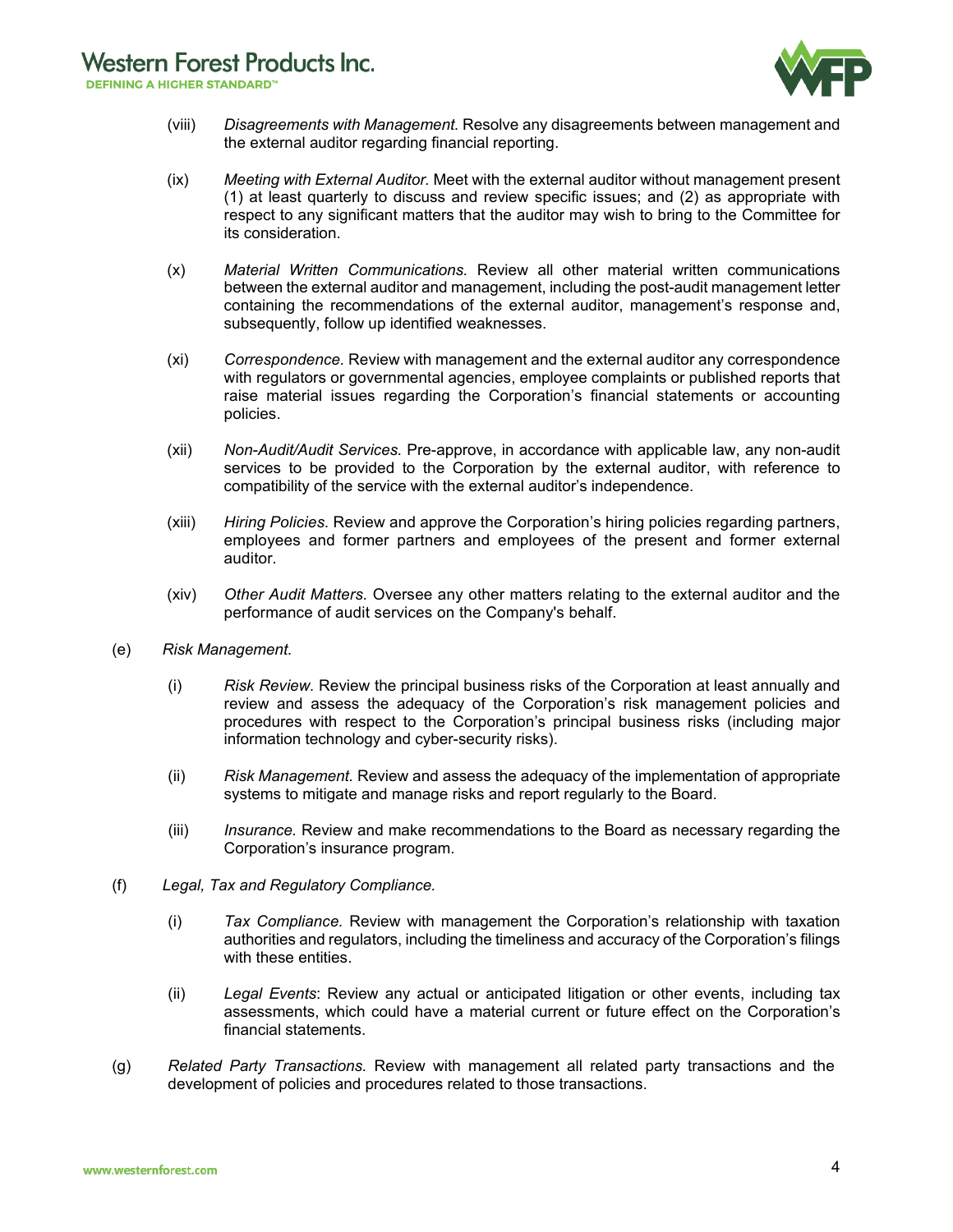**DEFINING A HIGHER STANDARD™** 



- (viii) *Disagreements with Management.* Resolve any disagreements between management and the external auditor regarding financial reporting.
- (ix) *Meeting with External Auditor.* Meet with the external auditor without management present (1) at least quarterly to discuss and review specific issues; and (2) as appropriate with respect to any significant matters that the auditor may wish to bring to the Committee for its consideration.
- (x) *Material Written Communications.* Review all other material written communications between the external auditor and management, including the post-audit management letter containing the recommendations of the external auditor, management's response and, subsequently, follow up identified weaknesses.
- (xi) *Correspondence.* Review with management and the external auditor any correspondence with regulators or governmental agencies, employee complaints or published reports that raise material issues regarding the Corporation's financial statements or accounting policies.
- (xii) *Non-Audit/Audit Services.* Pre-approve, in accordance with applicable law, any non-audit services to be provided to the Corporation by the external auditor, with reference to compatibility of the service with the external auditor's independence.
- (xiii) *Hiring Policies.* Review and approve the Corporation's hiring policies regarding partners, employees and former partners and employees of the present and former external auditor*.*
- (xiv) *Other Audit Matters.* Oversee any other matters relating to the external auditor and the performance of audit services on the Company's behalf.
- (e) *Risk Management.* 
	- (i) *Risk Review.* Review the principal business risks of the Corporation at least annually and review and assess the adequacy of the Corporation's risk management policies and procedures with respect to the Corporation's principal business risks (including major information technology and cyber-security risks).
	- (ii) *Risk Management.* Review and assess the adequacy of the implementation of appropriate systems to mitigate and manage risks and report regularly to the Board.
	- (iii) *Insurance.* Review and make recommendations to the Board as necessary regarding the Corporation's insurance program.
- (f) *Legal, Tax and Regulatory Compliance.*
	- (i) *Tax Compliance.* Review with management the Corporation's relationship with taxation authorities and regulators, including the timeliness and accuracy of the Corporation's filings with these entities.
	- (ii) *Legal Events*: Review any actual or anticipated litigation or other events, including tax assessments, which could have a material current or future effect on the Corporation's financial statements.
- (g) *Related Party Transactions.* Review with management all related party transactions and the development of policies and procedures related to those transactions.